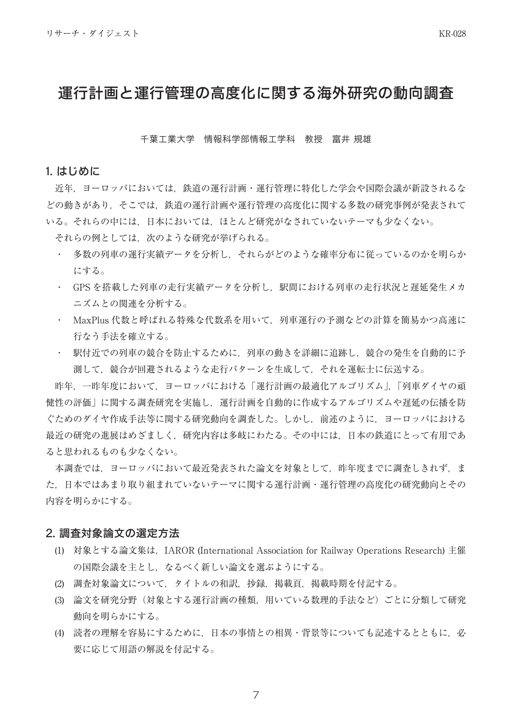# 運行計画と運行管理の高度化に関する海外研究の動向調査

#### 千葉工業大学 情報科学部情報工学科 教授 富井 規雄

#### 1. はじめに

近年、ヨーロッパにおいては、鉄道の運行計画・運行管理に特化した学会や国際会議が新設されるな どの動きがあり、そこでは、鉄道の運行計画や運行管理の高度化に関する多数の研究事例が発表されて いる。それらの中には、日本においては、ほとんど研究がなされていないテーマも少なくない。

それらの例としては,次のような研究が挙げられる。

- ・ 多数の列車の運行実績データを分析し、それらがどのような確率分布に従っているのかを明らか にする。
- ・ GPSを搭載した列車の走行実績データを分析し、駅間における列車の走行状況と遅延発生メカ 。ニズムとの関連を分析する
- MaxPlus 代数と呼ばれる特殊な代数系を用いて、列車運行の予測などの計算を簡易かつ高速に 行なう手法を確立する。
- ・ 駅付近での列車の競合を防止するために、列車の動きを詳細に追跡し、競合の発生を自動的に予 測して、競合が回避されるような走行パターンを生成して、それを運転士に伝送する。

昨年、一昨年度において、ヨーロッパにおける「運行計画の最適化アルゴリズム」「列車ダイヤの頑 健性の評価」に関する調査研究を実施し、運行計画を自動的に作成するアルゴリズムや遅延の伝播を防 ぐためのダイヤ作成手法等に関する研究動向を調査した。しかし、前述のように、ヨーロッパにおける 最近の研究の進展はめざましく、研究内容は多岐にわたる。その中には、日本の鉄道にとって有用であ 。ると思われるものも少なくない

本調査では、ヨーロッパにおいて最近発表された論文を対象として、昨年度までに調査しきれず、ま た、日本ではあまり取り組まれていないテーマに関する運行計画·運行管理の高度化の研究動向とその 内容を明らかにする。

### 2. 調査対象論文の選定方法

- (1) 対象とする論文集は, IAROR (International Association for Railway Operations Research) 主催 の国際会議を主とし、なるべく新しい論文を選ぶようにする。
- (2) 調査対象論文について、タイトルの和訳、抄録、掲載頁,掲載時期を付記する。
- (3) 論文を研究分野(対象とする運行計画の種類、用いている数理的手法など)ごとに分類して研究 動向を明らかにする。
- (4) 読者の理解を容易にするために、日本の事情との相異·背景等についても記述するとともに、必 要に応じて用語の解説を付記する。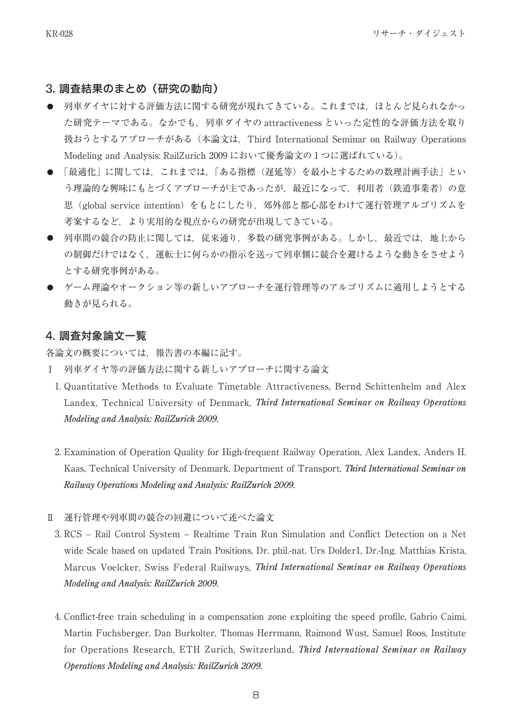## 3. 調査結果のまとめ (研究の動向)

- の車ダイヤに対する評価方法に関する研究が現れてきている。これまでは、ほとんど見られなかっ た研究テーマである。なかでも、列車ダイヤの attractiveness といった定性的な評価方法を取り 扱おうとするアプローチがある (本論文は、Third International Seminar on Railway Operations Modeling and Analysis: RailZurich 2009 において優秀論文の1つに選ばれている)。
- 「最適化」に関しては、これまでは、「ある指標(遅延等)を最小とするための数理計画手法」とい う理論的な興味にもとづくアプローチが主であったが、最近になって、利用者(鉄道事業者)の意 思(global service intention) をもとにしたり、郊外部と都心部をわけて運行管理アルゴリズムを 考案するなど、より実用的な視点からの研究が出現してきている。
- 列車間の競合の防止に関しては、従来通り、多数の研究事例がある。しかし、最近では、地上から の制御だけではなく、運転士に何らかの指示を送って列車側に競合を避けるような動きをさせよう 。とする研究事例がある
- ゲーム理論やオークション等の新しいアプローチを運行管理等のアルゴリズムに適用しようとする V 動きが見られる。

## 4. 調査対象論文一覧

各論文の概要については、報告書の本編に記す。

- Ⅰ 列車ダイヤ等の評価方法に関する新しいアプローチに関する論文
- 1. Quantitative Methods to Evaluate Timetable Attractiveness, Bernd Schittenhelm and Alex Landex, Technical University of Denmark, *Third International Seminar on Railway Operations Modeling and Analysis: RailZurich 2009.*
- 2. Examination of Operation Quality for High-frequent Railway Operation, Alex Landex, Anders H. Kaas, Technical University of Denmark, Department of Transport, *Third International Seminar on Railway Operations Modeling and Analysis: RailZurich 2009.*
- 運行管理や列車間の競合の回避について述べた論文 Ⅱ
	- 3. RCS Rail Control System Realtime Train Run Simulation and Conflict Detection on a Net wide Scale based on updated Train Positions. Dr. phil.-pat. Urs Dolder I. Dr.-Ing. Matthias Krista. *Marcus Voelcker, Swiss Federal Railways, Third International Seminar on Railway Operations Modeling and Analysis: RailZurich 2009.*
	- 4. Conflict-free train scheduling in a compensation zone exploiting the speed profile, Gabrio Caimi, Martin Fuchsberger, Dan Burkolter, Thomas Herrmann, Raimond Wüst, Samuel Roos, Institute for Operations Research, ETH Zurich, Switzerland, *Third International Seminar on Railway Operations Modeling and Analysis: RailZurich 2009.*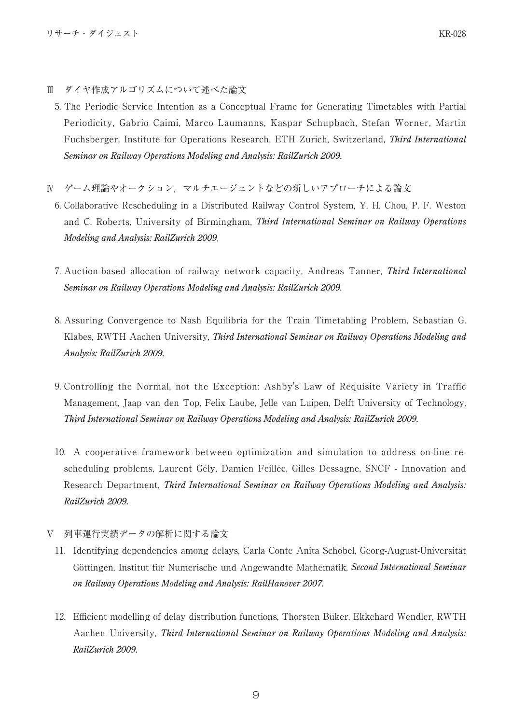- Ⅲ ダイヤ作成アルゴリズムについて述べた論文
	- 5. The Periodic Service Intention as a Conceptual Frame for Generating Timetables with Partial Periodicity, Gabrio Caimi, Marco Laumanns, Kaspar Schüpbach, Stefan Wörner, Martin Fuchsberger, Institute for Operations Research, ETH Zurich, Switzerland, *Third International Seminar on Railway Operations Modeling and Analysis: RailZurich 2009.*
- N ゲーム理論やオークション, マルチエージェントなどの新しいアプローチによる論文
	- 6. Collaborative Rescheduling in a Distributed Railway Control System, Y. H. Chou. P. F. Weston and C. Roberts, University of Birmingham, *Third International Seminar on Railway Operations Modeling and Analysis: RailZurich 2009.*
	- 7. Auction-based allocation of railway network capacity, Andreas Tanner, *Third International Seminar on Railway Operations Modeling and Analysis: RailZurich 2009.*
	- 8. Assuring Convergence to Nash Equilibria for the Train Timetabling Problem, Sebastian G. Klabes, RWTH Aachen University, *Third International Seminar on Railway Operations Modeling and Analysis: RailZurich 2009.*
	- 9. Controlling the Normal, not the Exception: Ashby's Law of Requisite Variety in Traffic Management, Jaap van den Top, Felix Laube, Jelle van Luipen, Delft University of Technology, *2009. RailZurich :Analysis and Modeling Operations Railway on Seminar International Third*
	- scheduling problems, Laurent Gély, Damien Feillée, Gilles Dessagne, SNCF Innovation and 10. A cooperative framework between optimization and simulation to address on-line re-**Research Department. Third International Seminar on Railway Operations Modeling and Analysis:** *2009. RailZurich*
- V 列車運行実績データの解析に関する論文
- 11. Identifying dependencies among delays, Carla Conte Anita Schöbel, Georg-August-Universität Göttingen, Institut für Numerische und Angewandte Mathematik, Second International Seminar on Railway Operations Modeling and Analysis: RailHanover 2007.
- 12. Efficient modelling of delay distribution functions, Thorsten Büker, Ekkehard Wendler, RWTH Aachen University, *Third International Seminar on Railway Operations Modeling and Analysis: 2009. RailZurich*